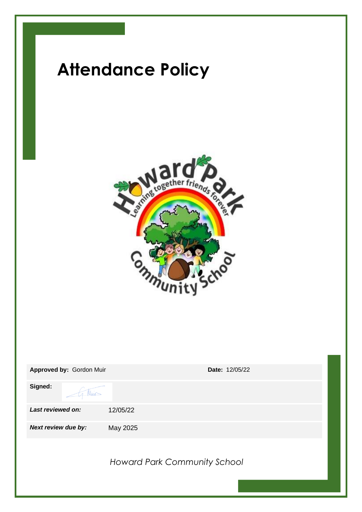

| Approved by: Gordon Muir | <b>Date: 12/05/22</b>               |
|--------------------------|-------------------------------------|
| Signed:<br>1 Min         |                                     |
| Last reviewed on:        | 12/05/22                            |
| Next review due by:      | May 2025                            |
|                          | <b>Howard Park Community School</b> |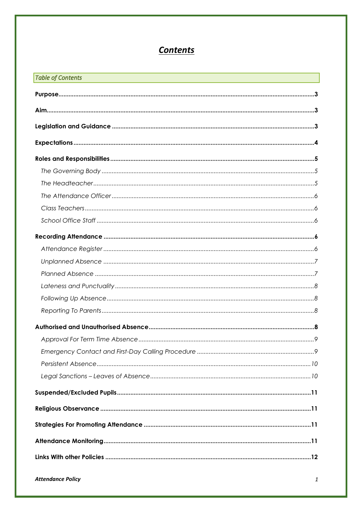# **Contents**

| <b>Table of Contents</b><br><u> 1989 - An Dùbhlachd ann an Dùbhlachd ann an Dùbhlachd ann an Dùbhlachd ann an Dùbhlachd ann an Dùbhlachd ann a</u> |  |  |
|----------------------------------------------------------------------------------------------------------------------------------------------------|--|--|
|                                                                                                                                                    |  |  |
|                                                                                                                                                    |  |  |
|                                                                                                                                                    |  |  |
|                                                                                                                                                    |  |  |
|                                                                                                                                                    |  |  |
|                                                                                                                                                    |  |  |
|                                                                                                                                                    |  |  |
|                                                                                                                                                    |  |  |
|                                                                                                                                                    |  |  |
|                                                                                                                                                    |  |  |
|                                                                                                                                                    |  |  |
|                                                                                                                                                    |  |  |
|                                                                                                                                                    |  |  |
|                                                                                                                                                    |  |  |
|                                                                                                                                                    |  |  |
|                                                                                                                                                    |  |  |
|                                                                                                                                                    |  |  |
|                                                                                                                                                    |  |  |
|                                                                                                                                                    |  |  |
|                                                                                                                                                    |  |  |
|                                                                                                                                                    |  |  |
|                                                                                                                                                    |  |  |
|                                                                                                                                                    |  |  |
|                                                                                                                                                    |  |  |
|                                                                                                                                                    |  |  |
|                                                                                                                                                    |  |  |
|                                                                                                                                                    |  |  |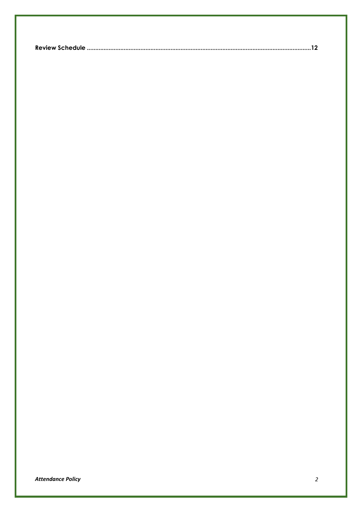|--|--|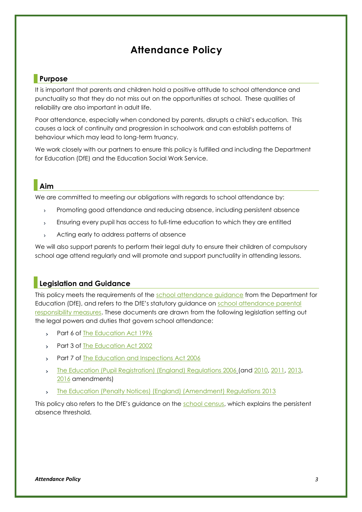## **Attendance Policy**

### <span id="page-3-0"></span>**Purpose**

It is important that parents and children hold a positive attitude to school attendance and punctuality so that they do not miss out on the opportunities at school. These qualities of reliability are also important in adult life.

Poor attendance, especially when condoned by parents, disrupts a child's education. This causes a lack of continuity and progression in schoolwork and can establish patterns of behaviour which may lead to long-term truancy.

We work closely with our partners to ensure this policy is fulfilled and including the Department for Education (DfE) and the Education Social Work Service.

### <span id="page-3-1"></span>**Aim**

We are committed to meeting our obligations with regards to school attendance by:

- $\mathbf{r}$ Promoting good attendance and reducing absence, including persistent absence
- Ensuring every pupil has access to full-time education to which they are entitled  $\mathbf{r}$
- Acting early to address patterns of absence  $\mathbf{r}$

We will also support parents to perform their legal duty to ensure their children of compulsory school age attend regularly and will promote and support punctuality in attending lessons.

### <span id="page-3-2"></span>**Legislation and Guidance**

This policy meets the requirements of the [school attendance guidance](https://www.gov.uk/government/publications/school-attendance) from the Department for Education (DfE), and refers to the DfE's statutory guidance on school attendance parental [responsibility measures.](https://www.gov.uk/government/publications/parental-responsibility-measures-for-behaviour-and-attendance) These documents are drawn from the following legislation setting out the legal powers and duties that govern school attendance:

- Part 6 of [The Education Act 1996](https://www.legislation.gov.uk/ukpga/1996/56/part/VI/chapter/II)  $\sum_{i=1}^{n}$
- Part 3 of [The Education Act 2002](http://www.legislation.gov.uk/ukpga/2002/32/part/3/chapter/3)  $\mathbf{S}^{\text{max}}$
- Part 7 of [The Education and Inspections Act 2006](http://www.legislation.gov.uk/ukpga/2006/40/part/7/chapter/2/crossheading/school-attendance)  $\mathbf{S}^{\text{max}}$
- [The Education \(Pupil Registration\) \(England\) Regulations 2006](http://www.legislation.gov.uk/uksi/2006/1751/contents/made) (and [2010,](https://www.legislation.gov.uk/uksi/2010/1725/regulation/2/made) [2011,](https://www.legislation.gov.uk/uksi/2011/1625/made) [2013,](https://www.legislation.gov.uk/uksi/2013/756/made)  $\mathbf{S}^{\mathcal{A}}$ [2016](https://www.legislation.gov.uk/uksi/2016/792/made/data.html) amendments)
- [The Education \(Penalty Notices\) \(England\) \(Amendment\) Regulations 2013](https://www.legislation.gov.uk/uksi/2013/757/regulation/2/made)  $\mathbf{r}$

This policy also refers to the DfE's guidance on the [school census,](https://www.gov.uk/guidance/complete-the-school-census) which explains the persistent absence threshold.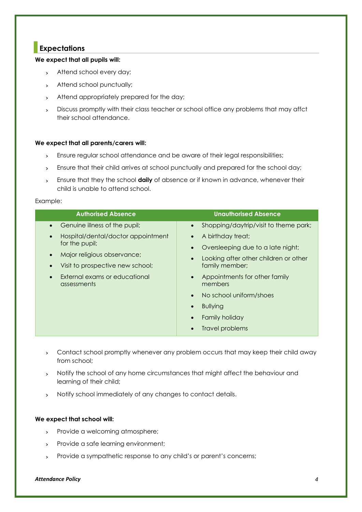### <span id="page-4-0"></span>**Expectations**

#### **We expect that all pupils will:**

- Attend school every day;
- Attend school punctually;
- Attend appropriately prepared for the day;
- Discuss promptly with their class teacher or school office any problems that may affct  $\mathbf{y}$ their school attendance.

#### **We expect that all parents/carers will:**

- $\mathbf{y}$ Ensure regular school attendance and be aware of their legal responsibilities;
- Ensure that their child arrives at school punctually and prepared for the school day;  $\sum_{i=1}^{n}$
- Ensure that they the school **daily** of absence or if known in advance, whenever their  $\sum_{i=1}^{n}$ child is unable to attend school.

#### Example:

| <b>Authorised Absence</b>                                                                                                                                                                                | <b>Unauthorised Absence</b>                                                                                                                                                                                                                                                    |
|----------------------------------------------------------------------------------------------------------------------------------------------------------------------------------------------------------|--------------------------------------------------------------------------------------------------------------------------------------------------------------------------------------------------------------------------------------------------------------------------------|
| Genuine illness of the pupil;<br>Hospital/dental/doctor appointment<br>for the pupil;<br>Major religious observance;<br>Visit to prospective new school;<br>External exams or educational<br>assessments | Shopping/daytrip/visit to theme park;<br>$\bullet$<br>A birthday treat;<br>Oversleeping due to a late night;<br>Looking after other children or other<br>family member;<br>Appointments for other family<br>members<br>No school uniform/shoes<br><b>Bullying</b><br>$\bullet$ |
|                                                                                                                                                                                                          | Family holiday<br>Travel problems                                                                                                                                                                                                                                              |

- Contact school promptly whenever any problem occurs that may keep their child away from school;
- Notify the school of any home circumstances that might affect the behaviour and  $\mathbf{y}$ learning of their child;
- $\mathbf{y}$ Notify school immediately of any changes to contact details.

#### **We expect that school will:**

- Provide a welcoming atmosphere;  $\mathbf{y}$
- Provide a safe learning environment;  $\mathbf{v}$
- Provide a sympathetic response to any child's or parent's concerns; $\mathbf{y}$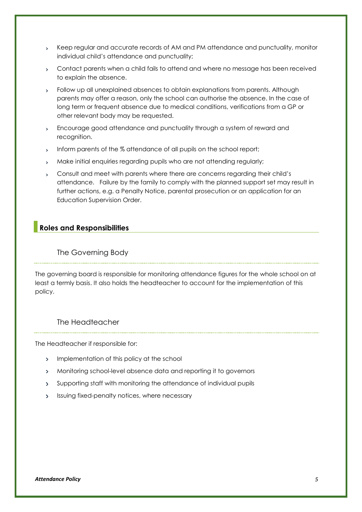- Keep regular and accurate records of AM and PM attendance and punctuality, monitor  $\mathbf{y}$ individual child's attendance and punctuality;
- Contact parents when a child fails to attend and where no message has been received to explain the absence.
- Follow up all unexplained absences to obtain explanations from parents. Although  $\sum_{i=1}^{n}$ parents may offer a reason, only the school can authorise the absence. In the case of long term or frequent absence due to medical conditions, verifications from a GP or other relevant body may be requested.
- Encourage good attendance and punctuality through a system of reward and  $\mathbf{y}$ recognition.
- Inform parents of the % attendance of all pupils on the school report;  $\mathbf{y}$
- $\mathbf{v}$ Make initial enquiries regarding pupils who are not attending regularly;
- Consult and meet with parents where there are concerns regarding their child's  $\sum_{i=1}^{n}$ attendance. Failure by the family to comply with the planned support set may result in further actions, e.g. a Penalty Notice, parental prosecution or an application for an Education Supervision Order.

### <span id="page-5-0"></span>**Roles and Responsibilities**

### <span id="page-5-1"></span>The Governing Body

The governing board is responsible for monitoring attendance figures for the whole school on at least a termly basis. It also holds the headteacher to account for the implementation of this policy.

### <span id="page-5-2"></span>The Headteacher

The Headteacher if responsible for:

- > Implementation of this policy at the school
- Monitoring school-level absence data and reporting it to governors
- Supporting staff with monitoring the attendance of individual pupils
- Issuing fixed-penalty notices, where necessary $\mathbf{y}^{\top}$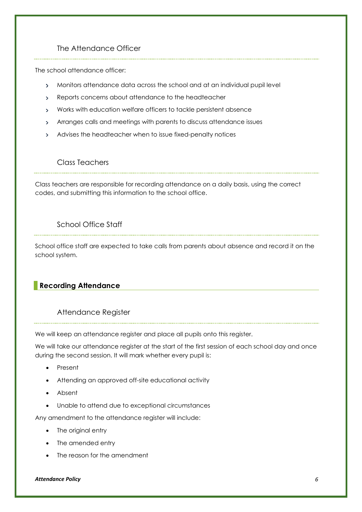### The Attendance Officer

<span id="page-6-0"></span>The school attendance officer:

- Monitors attendance data across the school and at an individual pupil level  $\mathbf{y}$
- Reports concerns about attendance to the headteacher  $\sum_{i=1}^{n}$
- Works with education welfare officers to tackle persistent absence  $\mathbf{S}^{\mathcal{A}}$
- Arranges calls and meetings with parents to discuss attendance issues
- Advises the headteacher when to issue fixed-penalty notices

### Class Teachers

<span id="page-6-1"></span>Class teachers are responsible for recording attendance on a daily basis, using the correct codes, and submitting this information to the school office.

### School Office Staff

<span id="page-6-2"></span>School office staff are expected to take calls from parents about absence and record it on the school system.

### <span id="page-6-3"></span>**Recording Attendance**

### Attendance Register

<span id="page-6-4"></span>We will keep an attendance register and place all pupils onto this register.

We will take our attendance register at the start of the first session of each school day and once during the second session. It will mark whether every pupil is:

- Present
- Attending an approved off-site educational activity
- Absent
- Unable to attend due to exceptional circumstances

Any amendment to the attendance register will include:

- The original entry
- The amended entry
- The reason for the amendment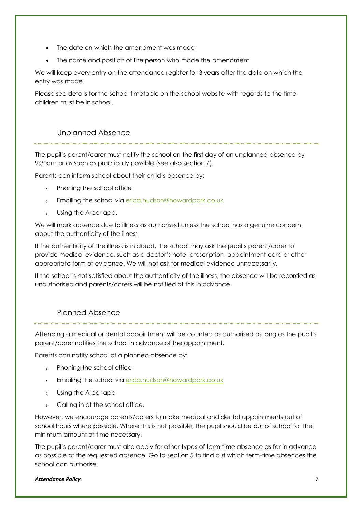- The date on which the amendment was made
- The name and position of the person who made the amendment

We will keep every entry on the attendance register for 3 years after the date on which the entry was made.

Please see details for the school timetable on the school website with regards to the time children must be in school.

### Unplanned Absence

<span id="page-7-0"></span>The pupil's parent/carer must notify the school on the first day of an unplanned absence by 9:30am or as soon as practically possible (see also section 7).

Parents can inform school about their child's absence by:

- > Phoning the school office
- Emailing the school via [erica.hudson@howardpark.co.uk](mailto:erica.hudson@howardpark.co.uk)  $\mathbf{y}$
- Using the Arbor app.  $\mathbf{v}$

We will mark absence due to illness as authorised unless the school has a genuine concern about the authenticity of the illness.

If the authenticity of the illness is in doubt, the school may ask the pupil's parent/carer to provide medical evidence, such as a doctor's note, prescription, appointment card or other appropriate form of evidence. We will not ask for medical evidence unnecessarily.

If the school is not satisfied about the authenticity of the illness, the absence will be recorded as unauthorised and parents/carers will be notified of this in advance.

### Planned Absence

<span id="page-7-1"></span>Attending a medical or dental appointment will be counted as authorised as long as the pupil's parent/carer notifies the school in advance of the appointment.

Parents can notify school of a planned absence by:

- > Phoning the school office
- Emailing the school via [erica.hudson@howardpark.co.uk](mailto:erica.hudson@howardpark.co.uk)  $\mathbf{S}^{\text{max}}$
- Using the Arbor app  $\mathbf{S}^{\text{max}}$
- > Calling in at the school office.

However, we encourage parents/carers to make medical and dental appointments out of school hours where possible. Where this is not possible, the pupil should be out of school for the minimum amount of time necessary.

The pupil's parent/carer must also apply for other types of term-time absence as far in advance as possible of the requested absence. Go to section 5 to find out which term-time absences the school can authorise.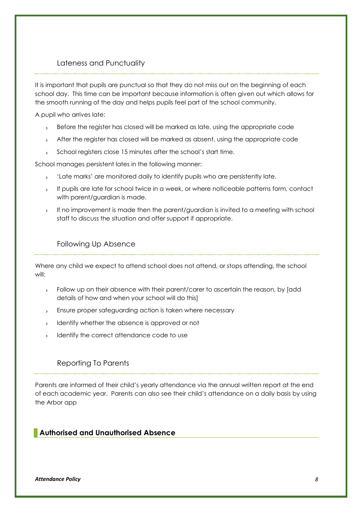### Lateness and Punctuality

<span id="page-8-0"></span>It is important that pupils are punctual so that they do not miss out on the beginning of each school day. This time can be important because information is often given out which allows for the smooth running of the day and helps pupils feel part of the school community.

A pupil who arrives late:

- Before the register has closed will be marked as late, using the appropriate code  $\sum_{i=1}^{n}$
- After the register has closed will be marked as absent, using the appropriate code  $\bar{\mathcal{P}}$
- School registers close 15 minutes after the school's start time.  $\mathbf{y}$

School manages persistent lates in the following manner:

- 'Late marks' are monitored daily to identify pupils who are persistently late.  $\mathbf{v}$
- If pupils are late for school twice in a week, or where noticeable patterns form, contact  $\mathbf{y}^{\mathbf{y}}$ with parent/guardian is made.
- If no improvement is made then the parent/guardian is invited to a meeting with school staff to discuss the situation and offer support if appropriate.

### Following Up Absence

<span id="page-8-1"></span>Where any child we expect to attend school does not attend, or stops attending, the school will:

- Follow up on their absence with their parent/carer to ascertain the reason, by [add  $\mathbf{S}^{\text{max}}$ details of how and when your school will do this]
- Ensure proper safeguarding action is taken where necessary  $\mathbf{S}^{\text{max}}$
- Identify whether the absence is approved or not  $\sum_{i=1}^{n}$
- Identify the correct attendance code to use  $\mathbf{S}^{\text{max}}$

### <span id="page-8-2"></span>Reporting To Parents

Parents are informed of their child's yearly attendance via the annual written report at the end of each academic year. Parents can also see their child's attendance on a daily basis by using the Arbor app

### <span id="page-8-3"></span>**Authorised and Unauthorised Absence**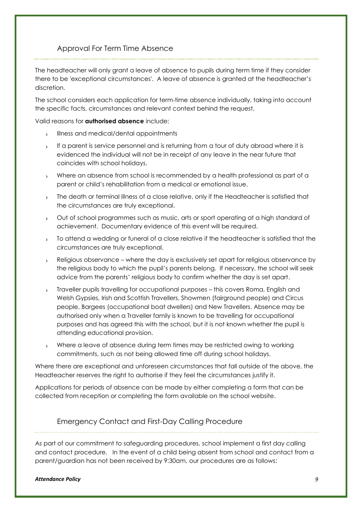### Approval For Term Time Absence

<span id="page-9-0"></span>The headteacher will only grant a leave of absence to pupils during term time if they consider there to be 'exceptional circumstances'. A leave of absence is granted at the headteacher's discretion.

The school considers each application for term-time absence individually, taking into account the specific facts, circumstances and relevant context behind the request.

Valid reasons for **authorised absence** include:

- Illness and medical/dental appointments
- If a parent is service personnel and is returning from a tour of duty abroad where it is evidenced the individual will not be in receipt of any leave in the near future that coincides with school holidays.
- Where an absence from school is recommended by a health professional as part of a  $\mathbf{v}$ parent or child's rehabilitation from a medical or emotional issue.
- The death or terminal illness of a close relative, only if the Headteacher is satisfied that  $\mathbf{S}^{\mathcal{A}}$ the circumstances are truly exceptional.
- Out of school programmes such as music, arts or sport operating at a high standard of  $\mathbf{S}^{\mathcal{A}}$ achievement. Documentary evidence of this event will be required.
- To attend a wedding or funeral of a close relative if the headteacher is satisfied that the  $\infty$ circumstances are truly exceptional.
- Religious observance where the day is exclusively set apart for religious observance by  $\sum_{i=1}^{n}$ the religious body to which the pupil's parents belong. If necessary, the school will seek advice from the parents' religious body to confirm whether the day is set apart.
- Traveller pupils travelling for occupational purposes this covers Roma, English and  $\mathbf{y}^{\mathbf{y}}$ Welsh Gypsies, Irish and Scottish Travellers, Showmen (fairground people) and Circus people, Bargees (occupational boat dwellers) and New Travellers. Absence may be authorised only when a Traveller family is known to be travelling for occupational purposes and has agreed this with the school, but it is not known whether the pupil is attending educational provision.
- Where a leave of absence during term times may be restricted owing to working commitments, such as not being allowed time off during school holidays.

Where there are exceptional and unforeseen circumstances that fall outside of the above, the Headteacher reserves the right to authorise if they feel the circumstances justify it.

Applications for periods of absence can be made by either completing a form that can be collected from reception or completing the form available on the school website.

### <span id="page-9-1"></span>Emergency Contact and First-Day Calling Procedure

As part of our commitment to safeguarding procedures, school implement a first day calling and contact procedure. In the event of a child being absent from school and contact from a parent/guardian has not been received by 9:30am, our procedures are as follows: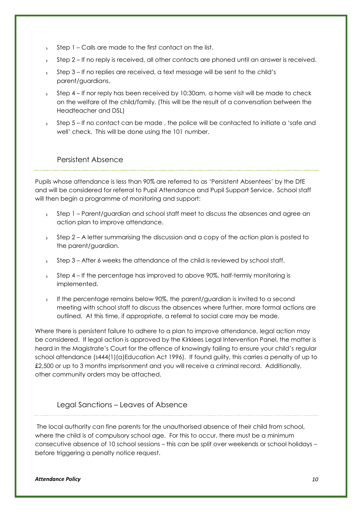- Step 1 Calls are made to the first contact on the list.  $\rightarrow$
- Step 2 If no reply is received, all other contacts are phoned until an answer is received.  $\mathbf{S}^{\mathcal{A}}$
- Step 3 If no replies are received, a text message will be sent to the child's  $\mathbf{S}^{\text{max}}$ parent/guardians.
- Step 4 If nor reply has been received by 10:30am, a home visit will be made to check on the welfare of the child/family. (This will be the result of a conversation between the Headteacher and DSL)
- Step 5 If no contact can be made , the police will be contacted to initiate a 'safe and  $\mathbf{S}^{\mathcal{A}}$ well' check. This will be done using the 101 number.

Persistent Absence

<span id="page-10-0"></span>Pupils whose attendance is less than 90% are referred to as 'Persistent Absentees' by the DfE and will be considered for referral to Pupil Attendance and Pupil Support Service. School staff will then begin a programme of monitoring and support:

- Step 1 Parent/guardian and school staff meet to discuss the absences and agree an  $\mathbf{p}$ action plan to improve attendance.
- $\mathbf{y}$ Step 2 – A letter summarising the discussion and a copy of the action plan is posted to the parent/guardian.
- Step 3 After 6 weeks the attendance of the child is reviewed by school staff.  $\mathbf{A}$
- Step 4 If the percentage has improved to above 90%, half-termly monitoring is  $\mathbf{y}$ implemented.
- If the percentage remains below 90%, the parent/guardian is invited to a second  $\mathbf{S}$ meeting with school staff to discuss the absences where further, more formal actions are outlined. At this time, if appropriate, a referral to social care may be made.

Where there is persistent failure to adhere to a plan to improve attendance, legal action may be considered. If legal action is approved by the Kirklees Legal Intervention Panel, the matter is heard in the Magistrate's Court for the offence of knowingly failing to ensure your child's regular school attendance (s444(1)(a)Education Act 1996). If found guilty, this carries a penalty of up to £2,500 or up to 3 months imprisonment and you will receive a criminal record. Additionally, other community orders may be attached.

### Legal Sanctions – Leaves of Absence

<span id="page-10-1"></span>The local authority can fine parents for the unauthorised absence of their child from school, where the child is of compulsory school age. For this to occur, there must be a minimum consecutive absence of 10 school sessions – this can be split over weekends or school holidays – before triggering a penalty notice request.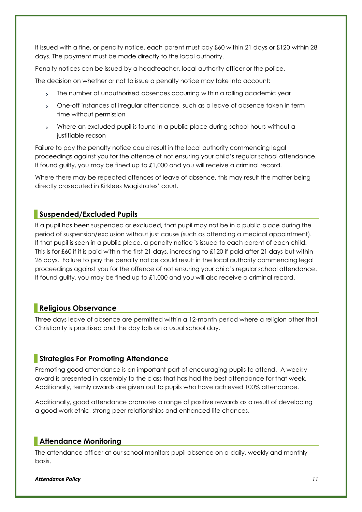If issued with a fine, or penalty notice, each parent must pay £60 within 21 days or £120 within 28 days. The payment must be made directly to the local authority.

Penalty notices can be issued by a headteacher, local authority officer or the police.

The decision on whether or not to issue a penalty notice may take into account:

- The number of unauthorised absences occurring within a rolling academic year
- One-off instances of irregular attendance, such as a leave of absence taken in term  $\mathbf{S}^{\text{max}}$ time without permission
- Where an excluded pupil is found in a public place during school hours without a  $\mathbf{p}$ justifiable reason

Failure to pay the penalty notice could result in the local authority commencing legal proceedings against you for the offence of not ensuring your child's regular school attendance. If found guilty, you may be fined up to £1,000 and you will receive a criminal record.

Where there may be repeated offences of leave of absence, this may result the matter being directly prosecuted in Kirklees Magistrates' court.

### <span id="page-11-0"></span>**Suspended/Excluded Pupils**

If a pupil has been suspended or excluded, that pupil may not be in a public place during the period of suspension/exclusion without just cause (such as attending a medical appointment). If that pupil is seen in a public place, a penalty notice is issued to each parent of each child. This is for £60 if it is paid within the first 21 days, increasing to £120 if paid after 21 days but within 28 days. Failure to pay the penalty notice could result in the local authority commencing legal proceedings against you for the offence of not ensuring your child's regular school attendance. If found guilty, you may be fined up to £1,000 and you will also receive a criminal record.

### <span id="page-11-1"></span>**Religious Observance**

Three days leave of absence are permitted within a 12-month period where a religion other that Christianity is practised and the day falls on a usual school day.

### <span id="page-11-2"></span>**Strategies For Promoting Attendance**

Promoting good attendance is an important part of encouraging pupils to attend. A weekly award is presented in assembly to the class that has had the best attendance for that week. Additionally, termly awards are given out to pupils who have achieved 100% attendance.

Additionally, good attendance promotes a range of positive rewards as a result of developing a good work ethic, strong peer relationships and enhanced life chances.

#### <span id="page-11-3"></span>**Attendance Monitoring**

The attendance officer at our school monitors pupil absence on a daily, weekly and monthly basis.